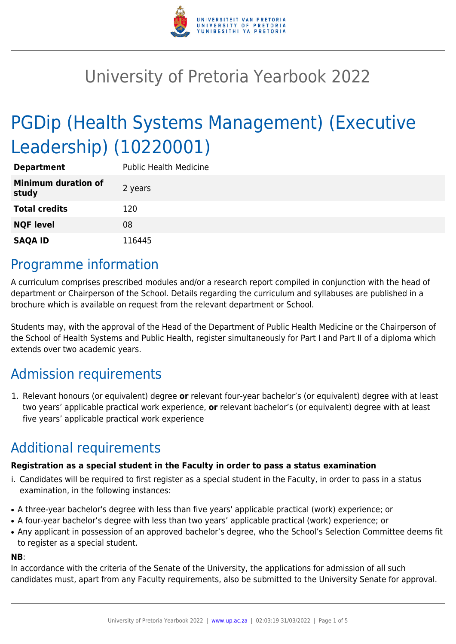

# University of Pretoria Yearbook 2022

# PGDip (Health Systems Management) (Executive Leadership) (10220001)

| <b>Department</b>                   | <b>Public Health Medicine</b> |
|-------------------------------------|-------------------------------|
| <b>Minimum duration of</b><br>study | 2 years                       |
| <b>Total credits</b>                | 120                           |
| <b>NQF level</b>                    | 08                            |
| <b>SAQA ID</b>                      | 116445                        |

### Programme information

A curriculum comprises prescribed modules and/or a research report compiled in conjunction with the head of department or Chairperson of the School. Details regarding the curriculum and syllabuses are published in a brochure which is available on request from the relevant department or School.

Students may, with the approval of the Head of the Department of Public Health Medicine or the Chairperson of the School of Health Systems and Public Health, register simultaneously for Part I and Part II of a diploma which extends over two academic years.

# Admission requirements

1. Relevant honours (or equivalent) degree **or** relevant four-year bachelor's (or equivalent) degree with at least two years' applicable practical work experience, **or** relevant bachelor's (or equivalent) degree with at least five years' applicable practical work experience

# Additional requirements

#### **Registration as a special student in the Faculty in order to pass a status examination**

- i. Candidates will be required to first register as a special student in the Faculty, in order to pass in a status examination, in the following instances:
- A three-year bachelor's degree with less than five years' applicable practical (work) experience; or
- A four-year bachelor's degree with less than two years' applicable practical (work) experience; or
- Any applicant in possession of an approved bachelor's degree, who the School's Selection Committee deems fit to register as a special student.

#### **NB**:

In accordance with the criteria of the Senate of the University, the applications for admission of all such candidates must, apart from any Faculty requirements, also be submitted to the University Senate for approval.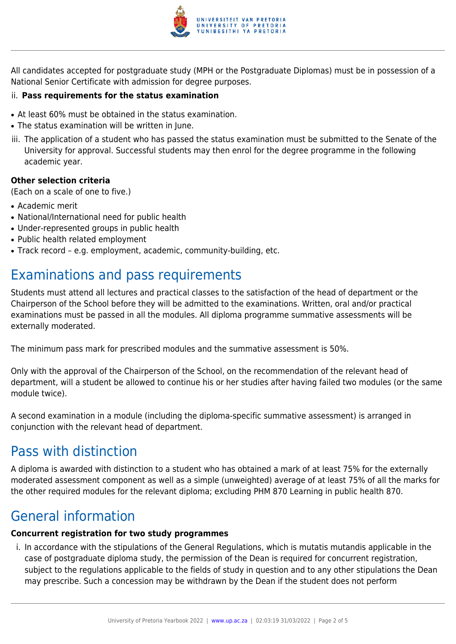

All candidates accepted for postgraduate study (MPH or the Postgraduate Diplomas) must be in possession of a National Senior Certificate with admission for degree purposes.

#### ii. **Pass requirements for the status examination**

- At least 60% must be obtained in the status examination.
- The status examination will be written in June.
- iii. The application of a student who has passed the status examination must be submitted to the Senate of the University for approval. Successful students may then enrol for the degree programme in the following academic year.

#### **Other selection criteria**

(Each on a scale of one to five.)

- Academic merit
- National/International need for public health
- Under-represented groups in public health
- Public health related employment
- Track record e.g. employment, academic, community-building, etc.

## Examinations and pass requirements

Students must attend all lectures and practical classes to the satisfaction of the head of department or the Chairperson of the School before they will be admitted to the examinations. Written, oral and/or practical examinations must be passed in all the modules. All diploma programme summative assessments will be externally moderated.

The minimum pass mark for prescribed modules and the summative assessment is 50%.

Only with the approval of the Chairperson of the School, on the recommendation of the relevant head of department, will a student be allowed to continue his or her studies after having failed two modules (or the same module twice).

A second examination in a module (including the diploma-specific summative assessment) is arranged in conjunction with the relevant head of department.

### Pass with distinction

A diploma is awarded with distinction to a student who has obtained a mark of at least 75% for the externally moderated assessment component as well as a simple (unweighted) average of at least 75% of all the marks for the other required modules for the relevant diploma; excluding PHM 870 Learning in public health 870.

### General information

#### **Concurrent registration for two study programmes**

i. In accordance with the stipulations of the General Regulations, which is mutatis mutandis applicable in the case of postgraduate diploma study, the permission of the Dean is required for concurrent registration, subject to the regulations applicable to the fields of study in question and to any other stipulations the Dean may prescribe. Such a concession may be withdrawn by the Dean if the student does not perform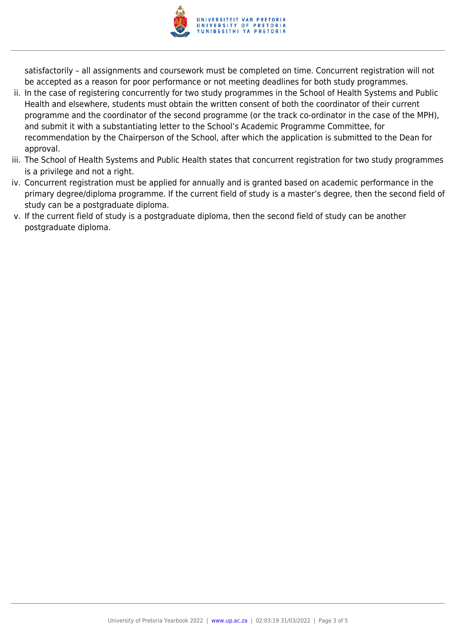

satisfactorily – all assignments and coursework must be completed on time. Concurrent registration will not be accepted as a reason for poor performance or not meeting deadlines for both study programmes.

- ii. In the case of registering concurrently for two study programmes in the School of Health Systems and Public Health and elsewhere, students must obtain the written consent of both the coordinator of their current programme and the coordinator of the second programme (or the track co-ordinator in the case of the MPH), and submit it with a substantiating letter to the School's Academic Programme Committee, for recommendation by the Chairperson of the School, after which the application is submitted to the Dean for approval.
- iii. The School of Health Systems and Public Health states that concurrent registration for two study programmes is a privilege and not a right.
- iv. Concurrent registration must be applied for annually and is granted based on academic performance in the primary degree/diploma programme. If the current field of study is a master's degree, then the second field of study can be a postgraduate diploma.
- v. If the current field of study is a postgraduate diploma, then the second field of study can be another postgraduate diploma.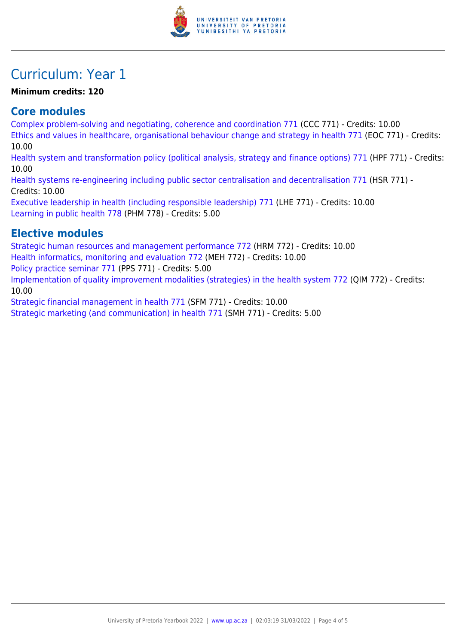

### Curriculum: Year 1

#### **Minimum credits: 120**

### **Core modules**

[Complex problem-solving and negotiating, coherence and coordination 771](https://www.up.ac.za/mechanical-and-aeronautical-engineering/yearbooks/2022/modules/view/CCC 771) (CCC 771) - Credits: 10.00 [Ethics and values in healthcare, organisational behaviour change and strategy in health 771](https://www.up.ac.za/mechanical-and-aeronautical-engineering/yearbooks/2022/modules/view/EOC 771) (EOC 771) - Credits: 10.00 [Health system and transformation policy \(political analysis, strategy and finance options\) 771](https://www.up.ac.za/mechanical-and-aeronautical-engineering/yearbooks/2022/modules/view/HPF 771) (HPF 771) - Credits: 10.00 [Health systems re-engineering including public sector centralisation and decentralisation 771](https://www.up.ac.za/mechanical-and-aeronautical-engineering/yearbooks/2022/modules/view/HSR 771) (HSR 771) - Credits: 10.00 [Executive leadership in health \(including responsible leadership\) 771](https://www.up.ac.za/mechanical-and-aeronautical-engineering/yearbooks/2022/modules/view/LHE 771) (LHE 771) - Credits: 10.00 [Learning in public health 778](https://www.up.ac.za/mechanical-and-aeronautical-engineering/yearbooks/2022/modules/view/PHM 778) (PHM 778) - Credits: 5.00

### **Elective modules**

[Strategic human resources and management performance 772](https://www.up.ac.za/mechanical-and-aeronautical-engineering/yearbooks/2022/modules/view/HRM 772) (HRM 772) - Credits: 10.00 [Health informatics, monitoring and evaluation 772](https://www.up.ac.za/mechanical-and-aeronautical-engineering/yearbooks/2022/modules/view/MEH 772) (MEH 772) - Credits: 10.00 [Policy practice seminar 771](https://www.up.ac.za/mechanical-and-aeronautical-engineering/yearbooks/2022/modules/view/PPS 771) (PPS 771) - Credits: 5.00 [Implementation of quality improvement modalities \(strategies\) in the health system 772](https://www.up.ac.za/mechanical-and-aeronautical-engineering/yearbooks/2022/modules/view/QIM 772) (QIM 772) - Credits: 10.00 [Strategic financial management in health 771](https://www.up.ac.za/mechanical-and-aeronautical-engineering/yearbooks/2022/modules/view/SFM 771) (SFM 771) - Credits: 10.00

[Strategic marketing \(and communication\) in health 771](https://www.up.ac.za/mechanical-and-aeronautical-engineering/yearbooks/2022/modules/view/SMH 771) (SMH 771) - Credits: 5.00